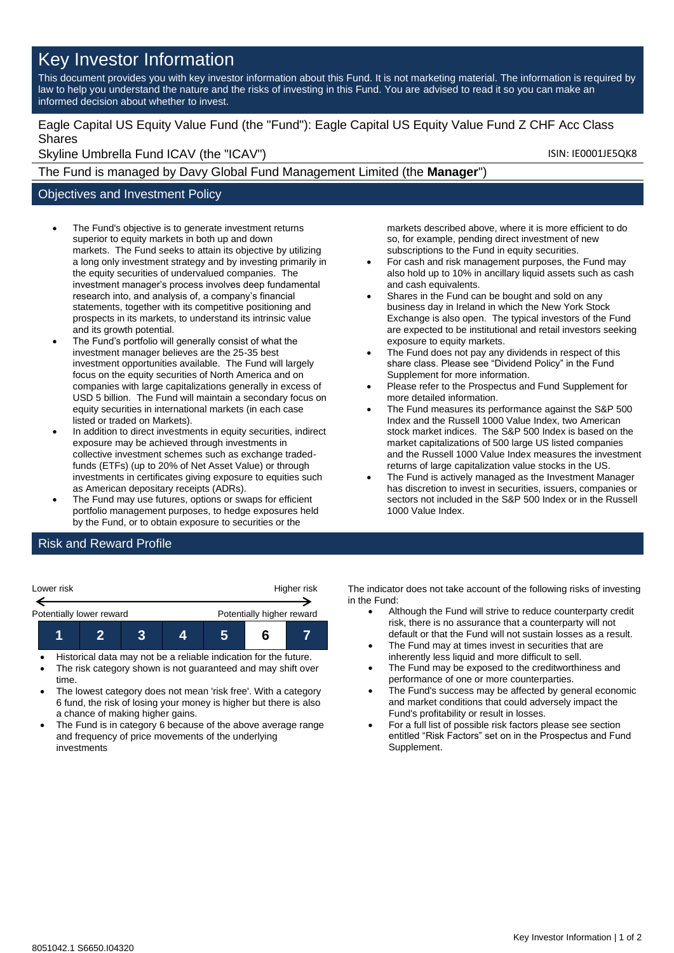# Key Investor Information

This document provides you with key investor information about this Fund. It is not marketing material. The information is required by law to help you understand the nature and the risks of investing in this Fund. You are advised to read it so you can make an informed decision about whether to invest.

Eagle Capital US Equity Value Fund (the "Fund"): Eagle Capital US Equity Value Fund Z CHF Acc Class Shares

Skyline Umbrella Fund ICAV (the "ICAV") Skyline Umbrella Fund ICAV (the "ICAV")

The Fund is managed by Davy Global Fund Management Limited (the **Manager**")

#### Objectives and Investment Policy

- The Fund's objective is to generate investment returns superior to equity markets in both up and down markets. The Fund seeks to attain its objective by utilizing a long only investment strategy and by investing primarily in the equity securities of undervalued companies. The investment manager's process involves deep fundamental research into, and analysis of, a company's financial statements, together with its competitive positioning and prospects in its markets, to understand its intrinsic value and its growth potential.
- The Fund's portfolio will generally consist of what the investment manager believes are the 25-35 best investment opportunities available. The Fund will largely focus on the equity securities of North America and on companies with large capitalizations generally in excess of USD 5 billion. The Fund will maintain a secondary focus on equity securities in international markets (in each case listed or traded on Markets).
- In addition to direct investments in equity securities, indirect exposure may be achieved through investments in collective investment schemes such as exchange tradedfunds (ETFs) (up to 20% of Net Asset Value) or through investments in certificates giving exposure to equities such as American depositary receipts (ADRs).
- The Fund may use futures, options or swaps for efficient portfolio management purposes, to hedge exposures held by the Fund, or to obtain exposure to securities or the

markets described above, where it is more efficient to do so, for example, pending direct investment of new subscriptions to the Fund in equity securities.

- For cash and risk management purposes, the Fund may also hold up to 10% in ancillary liquid assets such as cash and cash equivalents.
- Shares in the Fund can be bought and sold on any business day in Ireland in which the New York Stock Exchange is also open. The typical investors of the Fund are expected to be institutional and retail investors seeking exposure to equity markets.
- The Fund does not pay any dividends in respect of this share class. Please see "Dividend Policy" in the Fund Supplement for more information.
- Please refer to the Prospectus and Fund Supplement for more detailed information.
- The Fund measures its performance against the S&P 500 Index and the Russell 1000 Value Index, two American stock market indices. The S&P 500 Index is based on the market capitalizations of 500 large US listed companies and the Russell 1000 Value Index measures the investment returns of large capitalization value stocks in the US.
- The Fund is actively managed as the Investment Manager has discretion to invest in securities, issuers, companies or sectors not included in the S&P 500 Index or in the Russell 1000 Value Index.

## Risk and Reward Profile

| Lower risk               |                           |  | Higher risk |  |  |  |
|--------------------------|---------------------------|--|-------------|--|--|--|
| Potentially lower reward | Potentially higher reward |  |             |  |  |  |
|                          |                           |  |             |  |  |  |

- Historical data may not be a reliable indication for the future.
- The risk category shown is not guaranteed and may shift over time.
- The lowest category does not mean 'risk free'. With a category 6 fund, the risk of losing your money is higher but there is also a chance of making higher gains.
- The Fund is in category 6 because of the above average range and frequency of price movements of the underlying investments

The indicator does not take account of the following risks of investing in the Fund:

- Although the Fund will strive to reduce counterparty credit risk, there is no assurance that a counterparty will not default or that the Fund will not sustain losses as a result.
- The Fund may at times invest in securities that are inherently less liquid and more difficult to sell.
- The Fund may be exposed to the creditworthiness and performance of one or more counterparties.
- The Fund's success may be affected by general economic and market conditions that could adversely impact the Fund's profitability or result in losses.
- For a full list of possible risk factors please see section entitled "Risk Factors" set on in the Prospectus and Fund Supplement.